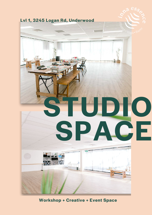

**Workshop + Creative + Event Space**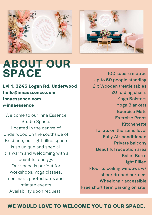



## **ABOUT OUR SPACE**

**Lvl 1, 3245 Logan Rd, Underwood hello@innaessence.com innaessence.com @innaessence**

Welcome to our Inna Essence Studio Space. Located in the centre of Underwood on the southside of Brisbane, our light filled space is so unique and special. It is warm and welcoming with a beautiful energy. Our space is perfect for workshops, yoga classes, seminars, photoshoots and intimate events. Availability upon request.

100 square metres Up to 50 people standing 2 x Wooden trestle tables 20 folding chairs Yoga Bolsters Yoga Blankets Exercise Mats Exercise Props Kitchenette Toilets on the same level Fully Air-conditioned Private balcony Beautiful reception area Ballet Barre Light Filled Floor to ceiling windows w/ sheer draped curtains Wheelchair accessible Free short term parking on site

#### **WE WOULD LOVE TO WELCOME YOU TO OUR SPACE.**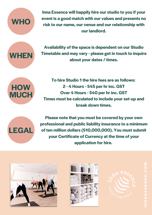### **WHO**

**Inna Essence will happily hire our studio to you if your event is a good match with our values and presents no risk to our name, our venue and our relationship with our landlord.**



**Availability of the space is dependent on our Studio Timetable and may vary - please get in touch to inquire about your dates / times.**



**To hire Studio 1 the hire fees are as follows: 2 - 4 Hours - \$45 per hr inc. GST Over 4 Hours - \$40 per hr inc. GST Times must be calculated to include your set-up and break down times.**



**Please note that you must be covered by your own professional and public liability insurance to a minimum of ten million dollars (\$10,000,000). You must submit your Certificate of Currency at the time of your application for hire.**





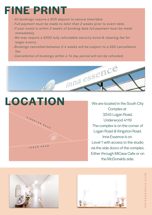# **FINE PRINT**

- *All bookings require a 50% deposit to secure time/date*
- *Full payment must be made no later than 2 weeks prior to event date.*
- *If your event is within 2 weeks of booking date full payment must be made immediately.*
- *We may require a \$200 fully refundable security bond & cleaning fee for larger events.*
- *Bookings cancelled between 2-4 weeks will be subject to a \$50 cancellation fee.*
- *Cancellation of bookings within a 14 day period will not be refunded.*





Complex at 3245 Logan Road, Underwood 4119 The complex is on the corner of Logan Road & Kingston Road. Inna Essence is on Level 1 with access to the studio via the side doors of the complex. Either through MiCasa Cafe or on the McDonalds side.